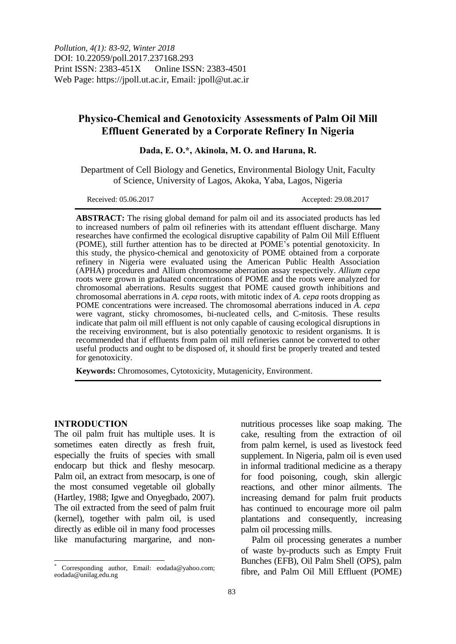*Pollution, 4(1): 83-92, Winter 2018* DOI: 10.22059/poll.2017.237168.293 Print ISSN: 2383-451X Online ISSN: 2383-4501 Web Page: https://jpoll.ut.ac.ir, Email: jpoll@ut.ac.ir

# **Physico-Chemical and Genotoxicity Assessments of Palm Oil Mill Effluent Generated by a Corporate Refinery In Nigeria**

**Dada, E. O.\*, Akinola, M. O. and Haruna, R.**

Department of Cell Biology and Genetics, Environmental Biology Unit, Faculty of Science, University of Lagos, Akoka, Yaba, Lagos, Nigeria

Received: 05.06.2017 Accepted: 29.08.2017

**ABSTRACT:** The rising global demand for palm oil and its associated products has led to increased numbers of palm oil refineries with its attendant effluent discharge. Many researches have confirmed the ecological disruptive capability of Palm Oil Mill Effluent (POME), still further attention has to be directed at POME's potential genotoxicity. In this study, the physico-chemical and genotoxicity of POME obtained from a corporate refinery in Nigeria were evaluated using the American Public Health Association (APHA) procedures and Allium chromosome aberration assay respectively. *Allium cepa* roots were grown in graduated concentrations of POME and the roots were analyzed for chromosomal aberrations. Results suggest that POME caused growth inhibitions and chromosomal aberrations in *A*. *cepa* roots, with mitotic index of *A*. *cepa* roots dropping as POME concentrations were increased. The chromosomal aberrations induced in *A*. *cepa* were vagrant, sticky chromosomes, bi-nucleated cells, and C-mitosis. These results indicate that palm oil mill effluent is not only capable of causing ecological disruptions in the receiving environment, but is also potentially genotoxic to resident organisms. It is recommended that if effluents from palm oil mill refineries cannot be converted to other useful products and ought to be disposed of, it should first be properly treated and tested for genotoxicity.

**Keywords:** Chromosomes, Cytotoxicity, Mutagenicity, Environment.

### **INTRODUCTION**

 $\overline{\phantom{a}}$ 

The oil palm fruit has multiple uses. It is sometimes eaten directly as fresh fruit, especially the fruits of species with small endocarp but thick and fleshy mesocarp. Palm oil, an extract from mesocarp, is one of the most consumed vegetable oil globally (Hartley, 1988; Igwe and Onyegbado, 2007). The oil extracted from the seed of palm fruit (kernel), together with palm oil, is used directly as edible oil in many food processes like manufacturing margarine, and nonnutritious processes like soap making. The cake, resulting from the extraction of oil from palm kernel, is used as livestock feed supplement. In Nigeria, palm oil is even used in informal traditional medicine as a therapy for food poisoning, cough, skin allergic reactions, and other minor ailments. The increasing demand for palm fruit products has continued to encourage more oil palm plantations and consequently, increasing palm oil processing mills.

Palm oil processing generates a number of waste by-products such as Empty Fruit Bunches (EFB), Oil Palm Shell (OPS), palm fibre, and Palm Oil Mill Effluent (POME)

Corresponding author, Email: eodada@yahoo.com; eodada@unilag.edu.ng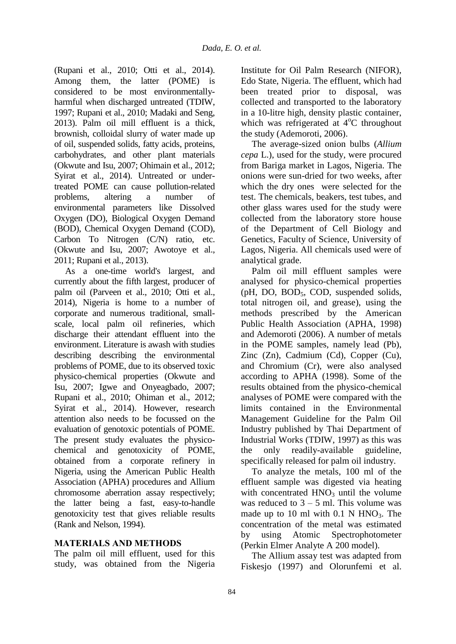(Rupani et al., 2010; Otti et al., 2014). Among them, the latter (POME) is considered to be most environmentallyharmful when discharged untreated (TDIW, 1997; Rupani et al., 2010; Madaki and Seng, 2013). Palm oil mill effluent is a thick, brownish, colloidal slurry of water made up of oil, suspended solids, fatty acids, proteins, carbohydrates, and other plant materials (Okwute and Isu, 2007; Ohimain et al., 2012; Syirat et al., 2014). Untreated or undertreated POME can cause pollution-related problems, altering a number of environmental parameters like Dissolved Oxygen (DO), Biological Oxygen Demand (BOD), Chemical Oxygen Demand (COD), Carbon To Nitrogen (C/N) ratio, etc. (Okwute and Isu, 2007; Awotoye et al., 2011; Rupani et al., 2013).

As a one-time world's largest, and currently about the fifth largest, producer of palm oil (Parveen et al., 2010; Otti et al., 2014), Nigeria is home to a number of corporate and numerous traditional, smallscale, local palm oil refineries, which discharge their attendant effluent into the environment. Literature is awash with studies describing describing the environmental problems of POME, due to its observed toxic physico-chemical properties (Okwute and Isu, 2007; Igwe and Onyeagbado, 2007; Rupani et al., 2010; Ohiman et al., 2012; Syirat et al., 2014). However, research attention also needs to be focussed on the evaluation of genotoxic potentials of POME. The present study evaluates the physicochemical and genotoxicity of POME, obtained from a corporate refinery in Nigeria, using the American Public Health Association (APHA) procedures and Allium chromosome aberration assay respectively; the latter being a fast, easy-to-handle genotoxicity test that gives reliable results (Rank and Nelson, 1994).

### **MATERIALS AND METHODS**

The palm oil mill effluent, used for this study, was obtained from the Nigeria Institute for Oil Palm Research (NIFOR), Edo State, Nigeria. The effluent, which had been treated prior to disposal, was collected and transported to the laboratory in a 10-litre high, density plastic container, which was refrigerated at  $4^{\circ}$ C throughout the study (Ademoroti, 2006).

The average-sized onion bulbs (*Allium cepa* L.), used for the study, were procured from Bariga market in Lagos, Nigeria. The onions were sun-dried for two weeks, after which the dry ones were selected for the test. The chemicals, beakers, test tubes, and other glass wares used for the study were collected from the laboratory store house of the Department of Cell Biology and Genetics, Faculty of Science, University of Lagos, Nigeria. All chemicals used were of analytical grade.

Palm oil mill effluent samples were analysed for physico-chemical properties (pH, DO, BOD<sub>5</sub>, COD, suspended solids, total nitrogen oil, and grease), using the methods prescribed by the American Public Health Association (APHA, 1998) and Ademoroti (2006). A number of metals in the POME samples, namely lead (Pb), Zinc (Zn), Cadmium (Cd), Copper (Cu), and Chromium (Cr), were also analysed according to APHA (1998). Some of the results obtained from the physico-chemical analyses of POME were compared with the limits contained in the Environmental Management Guideline for the Palm Oil Industry published by Thai Department of Industrial Works (TDIW, 1997) as this was the only readily-available guideline, specifically released for palm oil industry.

To analyze the metals, 100 ml of the effluent sample was digested via heating with concentrated  $HNO<sub>3</sub>$  until the volume was reduced to  $3 - 5$  ml. This volume was made up to 10 ml with  $0.1$  N HNO<sub>3</sub>. The concentration of the metal was estimated by using Atomic Spectrophotometer (Perkin Elmer Analyte A 200 model).

The Allium assay test was adapted from Fiskesjo (1997) and Olorunfemi et al.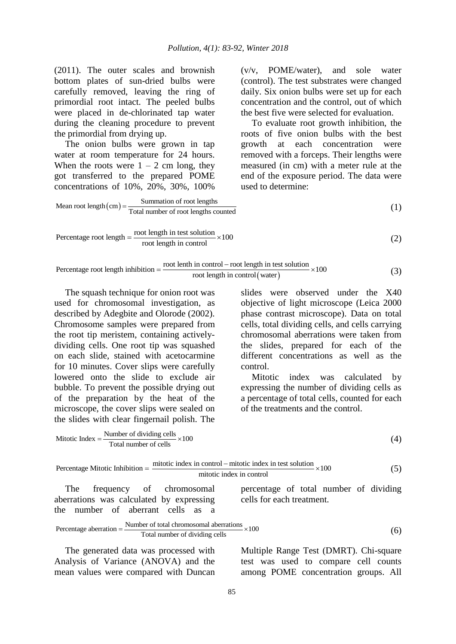(2011). The outer scales and brownish bottom plates of sun-dried bulbs were carefully removed, leaving the ring of primordial root intact. The peeled bulbs were placed in de-chlorinated tap water during the cleaning procedure to prevent the primordial from drying up.

The onion bulbs were grown in tap water at room temperature for 24 hours. When the roots were  $1 - 2$  cm long, they got transferred to the prepared POME concentrations of 10%, 20%, 30%, 100% (v/v, POME/water), and sole water (control). The test substrates were changed daily. Six onion bulbs were set up for each concentration and the control, out of which the best five were selected for evaluation.

To evaluate root growth inhibition, the roots of five onion bulbs with the best growth at each concentration were removed with a forceps. Their lengths were measured (in cm) with a meter rule at the end of the exposure period. The data were used to determine:

Mean root length 
$$
(cm)
$$
 =  $\frac{Summation of root lengths}{Total number of root lengths counted}$  (1)

Percentage root length = 
$$
\frac{\text{root length in test solution}}{\text{root length in control}} \times 100
$$
 (2)

 root lenth in control root length in test solution Percentage root length inhibition 100 root length in control water (3)

The squash technique for onion root was used for chromosomal investigation, as described by Adegbite and Olorode (2002). Chromosome samples were prepared from the root tip meristem, containing activelydividing cells. One root tip was squashed on each slide, stained with acetocarmine for 10 minutes. Cover slips were carefully lowered onto the slide to exclude air bubble. To prevent the possible drying out of the preparation by the heat of the microscope, the cover slips were sealed on the slides with clear fingernail polish. The

slides were observed under the X40 objective of light microscope (Leica 2000 phase contrast microscope). Data on total cells, total dividing cells, and cells carrying chromosomal aberrations were taken from the slides, prepared for each of the different concentrations as well as the control.

Mitotic index was calculated by expressing the number of dividing cells as a percentage of total cells, counted for each of the treatments and the control.

Number of dividing cells Mitotic Index 100 Total number of cells (4) mitotic index in control mitotic index in test solution Percentage Mitotic Inhibition 100 

Percentage Mitotic Inhibition = 
$$
\frac{\text{miolet index in control}}{\text{miotic index in control}} \times 100
$$
 (5)

\nThe frequency of chromosomal

\ninteracting of total number of dividing a. (5) and (5) are determined.

There are the number of total chromosomal aberrations

\nPercentage aberration = 
$$
\frac{\text{Number of total chromosomal aberrations}}{\text{Total number of dividing cells}}
$$
 × 100

\n(6)

The generated data was processed with Analysis of Variance (ANOVA) and the mean values were compared with Duncan

the number of aberrant cells as a

Multiple Range Test (DMRT). Chi-square test was used to compare cell counts among POME concentration groups. All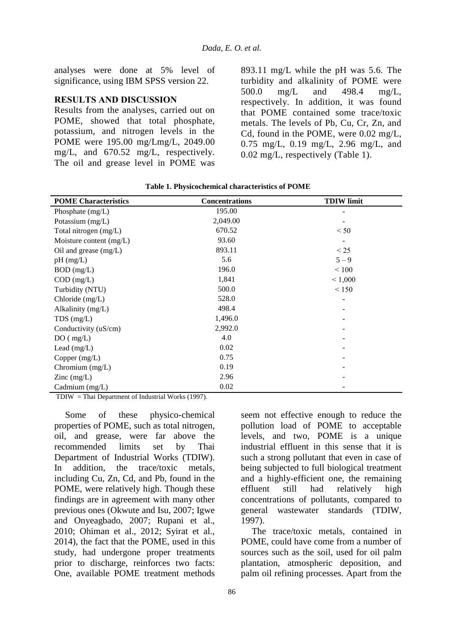analyses were done at 5% level of significance, using IBM SPSS version 22.

#### **RESULTS AND DISCUSSION**

Results from the analyses, carried out on POME, showed that total phosphate, potassium, and nitrogen levels in the POME were 195.00 mg/Lmg/L, 2049.00 mg/L, and 670.52 mg/L, respectively. The oil and grease level in POME was 893.11 mg/L while the pH was 5.6. The turbidity and alkalinity of POME were 500.0 mg/L and 498.4 mg/L, respectively. In addition, it was found that POME contained some trace/toxic metals. The levels of Pb, Cu, Cr, Zn, and Cd, found in the POME, were 0.02 mg/L, 0.75 mg/L, 0.19 mg/L, 2.96 mg/L, and 0.02 mg/L, respectively (Table 1).

| <b>POME</b> Characteristics              | <b>Concentrations</b> | <b>TDIW</b> limit |
|------------------------------------------|-----------------------|-------------------|
| Phosphate $(mg/L)$                       | 195.00                |                   |
| Potassium (mg/L)                         | 2,049.00              |                   |
| Total nitrogen (mg/L)                    | 670.52                | < 50              |
| Moisture content (mg/L)                  | 93.60                 |                   |
| Oil and grease $(mg/L)$                  | 893.11                | $\leq$ 25         |
| $pH$ (mg/L)                              | 5.6                   | $5 - 9$           |
| $BOD$ (mg/L)                             | 196.0                 | < 100             |
| $COD$ (mg/L)                             | 1,841                 | < 1,000           |
| Turbidity (NTU)                          | 500.0                 | < 150             |
| Chloride (mg/L)                          | 528.0                 |                   |
| Alkalinity (mg/L)                        | 498.4                 |                   |
| $TDS$ (mg/L)                             | 1,496.0               |                   |
| Conductivity (uS/cm)                     | 2,992.0               |                   |
| DO( mg/L)                                | 4.0                   |                   |
| Lead (mg/L)                              | 0.02                  |                   |
| Copper $(mg/L)$                          | 0.75                  |                   |
| Chromium (mg/L)                          | 0.19                  |                   |
| $\text{Zinc} \left( \text{mg/L} \right)$ | 2.96                  |                   |
| Cadmium (mg/L)                           | 0.02                  |                   |

**Table 1. Physicochemical characteristics of POME**

TDIW = Thai Department of Industrial Works (1997).

Some of these physico-chemical properties of POME, such as total nitrogen, oil, and grease, were far above the recommended limits set by Thai Department of Industrial Works (TDIW). In addition, the trace/toxic metals, including Cu, Zn, Cd, and Pb, found in the POME, were relatively high. Though these findings are in agreement with many other previous ones (Okwute and Isu, 2007; Igwe and Onyeagbado, 2007; Rupani et al., 2010; Ohiman et al., 2012; Syirat et al., 2014), the fact that the POME, used in this study, had undergone proper treatments prior to discharge, reinforces two facts: One, available POME treatment methods

seem not effective enough to reduce the pollution load of POME to acceptable levels, and two, POME is a unique industrial effluent in this sense that it is such a strong pollutant that even in case of being subjected to full biological treatment and a highly-efficient one, the remaining effluent still had relatively high concentrations of pollutants, compared to general wastewater standards (TDIW, 1997).

The trace/toxic metals, contained in POME, could have come from a number of sources such as the soil, used for oil palm plantation, atmospheric deposition, and palm oil refining processes. Apart from the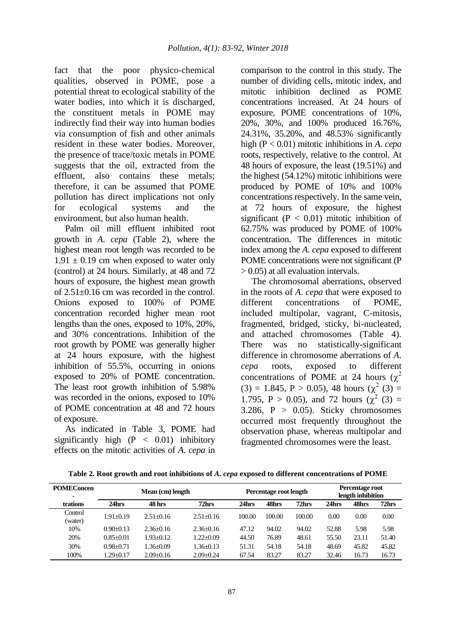fact that the poor physico-chemical qualities, observed in POME, pose a potential threat to ecological stability of the water bodies, into which it is discharged, the constituent metals in POME may indirectly find their way into human bodies via consumption of fish and other animals resident in these water bodies. Moreover, the presence of trace/toxic metals in POME suggests that the oil, extracted from the effluent, also contains these metals; therefore, it can be assumed that POME pollution has direct implications not only for ecological systems and the environment, but also human health.

Palm oil mill effluent inhibited root growth in *A*. *cepa* (Table 2), where the highest mean root length was recorded to be  $1.91 \pm 0.19$  cm when exposed to water only (control) at 24 hours. Similarly, at 48 and 72 hours of exposure, the highest mean growth of 2.51±0.16 cm was recorded in the control. Onions exposed to 100% of POME concentration recorded higher mean root lengths than the ones, exposed to 10%, 20%, and 30% concentrations. Inhibition of the root growth by POME was generally higher at 24 hours exposure, with the highest inhibition of 55.5%, occurring in onions exposed to 20% of POME concentration. The least root growth inhibition of 5.98% was recorded in the onions, exposed to 10% of POME concentration at 48 and 72 hours of exposure.

As indicated in Table 3, POME had significantly high  $(P < 0.01)$  inhibitory effects on the mitotic activities of *A*. *cepa* in comparison to the control in this study. The number of dividing cells, mitotic index, and mitotic inhibition declined as POME concentrations increased. At 24 hours of exposure, POME concentrations of 10%, 20%, 30%, and 100% produced 16.76%, 24.31%, 35.20%, and 48.53% significantly high (P < 0.01) mitotic inhibitions in *A*. *cepa* roots, respectively, relative to the control. At 48 hours of exposure, the least (19.51%) and the highest (54.12%) mitotic inhibitions were produced by POME of 10% and 100% concentrations respectively. In the same vein, at 72 hours of exposure, the highest significant ( $P < 0.01$ ) mitotic inhibition of 62.75% was produced by POME of 100% concentration. The differences in mitotic index among the *A*. *cepa* exposed to different POME concentrations were not significant (P > 0.05) at all evaluation intervals.

The chromosomal aberrations, observed in the roots of *A*. *cepa* that were exposed to different concentrations of POME, included multipolar, vagrant, C-mitosis, fragmented, bridged, sticky, bi-nucleated, and attached chromosomes (Table 4). There was no statistically-significant difference in chromosome aberrations of *A*. *cepa* roots, exposed to different concentrations of POME at 24 hours  $(\chi^2)$  $(3) = 1.845$ , P > 0.05), 48 hours  $(\chi^2(3)) =$ 1.795, P > 0.05), and 72 hours  $(\chi^2(3) =$ 3.286,  $P > 0.05$ ). Sticky chromosomes occurred most frequently throughout the observation phase, whereas multipolar and fragmented chromosomes were the least.

| <b>POMEC</b> oncen |               | Percentage root length |               |        | Percentage root<br>length inhibition |        |       |       |       |
|--------------------|---------------|------------------------|---------------|--------|--------------------------------------|--------|-------|-------|-------|
| trations           | 24hrs         | 48 hrs                 | 72hrs         | 24hrs  | 48hrs                                | 72hrs  | 24hrs | 48hrs | 72hrs |
| Control<br>(water) | $1.91 + 0.19$ | $2.51 + 0.16$          | $2.51 + 0.16$ | 100.00 | 100.00                               | 100.00 | 0.00  | 0.00  | 0.00  |
| 10%                | $0.90+0.13$   | $2.36 + 0.16$          | $2.36 + 0.16$ | 47.12  | 94.02                                | 94.02  | 52.88 | 5.98  | 5.98  |
| 20%                | $0.85 + 0.01$ | $1.93 + 0.12$          | $1.22 + 0.09$ | 44.50  | 76.89                                | 48.61  | 55.50 | 23.11 | 51.40 |
| 30%                | $0.98 + 0.71$ | $-36+0.09$             | $1.36 + 0.13$ | 51.31  | 54.18                                | 54.18  | 48.69 | 45.82 | 45.82 |
| 100%               | $1.29 + 0.17$ | $2.09 + 0.16$          | $2.09 + 0.24$ | 67.54  | 83.27                                | 83.27  | 32.46 | 16.73 | 16.73 |

**Table 2. Root growth and root inhibitions of** *A***.** *cepa* **exposed to different concentrations of POME**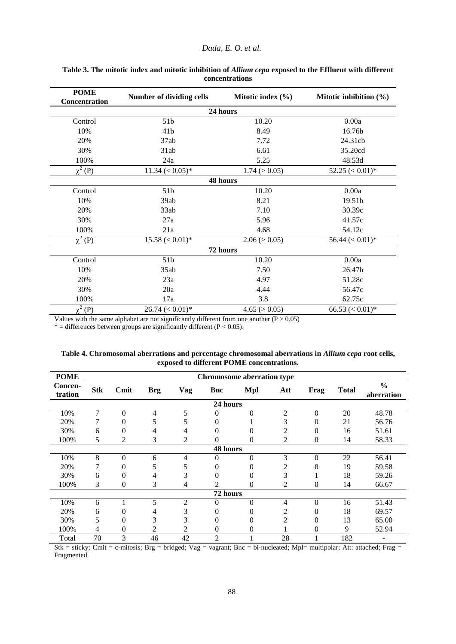#### *Dada, E. O. et al.*

| <b>POME</b><br>Concentration | <b>Number of dividing cells</b> | Mitotic index $(\% )$ | Mitotic inhibition $(\% )$     |  |  |  |  |  |
|------------------------------|---------------------------------|-----------------------|--------------------------------|--|--|--|--|--|
| 24 hours                     |                                 |                       |                                |  |  |  |  |  |
| Control                      | 51 <sub>b</sub>                 | 10.20                 | 0.00a                          |  |  |  |  |  |
| 10%                          | 41b                             | 8.49                  | 16.76b                         |  |  |  |  |  |
| 20%                          | 37ab                            | 7.72                  | 24.31cb                        |  |  |  |  |  |
| 30%                          | 31ab                            | 6.61                  | 35.20cd                        |  |  |  |  |  |
| 100%                         | 24a                             | 5.25                  | 48.53d                         |  |  |  |  |  |
| $\chi^2$ (P)                 | $11.34 \, (< 0.05)^*$           | 1.74 (> 0.05)         | $52.25 \, \textless\, 0.01)^*$ |  |  |  |  |  |
| 48 hours                     |                                 |                       |                                |  |  |  |  |  |
| Control                      | 51 <sub>b</sub>                 | 10.20                 | 0.00a                          |  |  |  |  |  |
| 10%                          | 39ab                            | 8.21                  | 19.51b                         |  |  |  |  |  |
| 20%                          | 33ab                            | 7.10                  | 30.39c                         |  |  |  |  |  |
| 30%                          | 27a                             | 5.96                  | 41.57c                         |  |  |  |  |  |
| 100%                         | 21a                             | 4.68                  | 54.12c                         |  |  |  |  |  |
| $\chi^2$ (P)                 | $15.58 \, (< 0.01)^*$           | 2.06 (> 0.05)         | $56.44 \, (< 0.01)^*$          |  |  |  |  |  |
|                              |                                 | 72 hours              |                                |  |  |  |  |  |
| Control                      | 51b                             | 10.20                 | 0.00a                          |  |  |  |  |  |
| 10%                          | 35ab                            | 7.50                  | 26.47b                         |  |  |  |  |  |
| 20%                          | 23a                             | 4.97                  | 51.28c                         |  |  |  |  |  |
| 30%                          | 20a                             | 4.44                  | 56.47c                         |  |  |  |  |  |
| 100%                         | 17a                             | 3.8                   | 62.75c                         |  |  |  |  |  |
| $\chi^2$ (P)                 | $26.74 \, (< 0.01)^*$           | 4.65 (> 0.05)         | 66.53 $(< 0.01)*$              |  |  |  |  |  |

**Table 3. The mitotic index and mitotic inhibition of** *Allium cepa* **exposed to the Effluent with different concentrations**

Values with the same alphabet are not significantly different from one another  $(P > 0.05)$ 

 $*$  = differences between groups are significantly different (P < 0.05).

| <b>POME</b>        | <b>Chromosome aberration type</b> |                |            |                |          |                  |                |                |              |                             |
|--------------------|-----------------------------------|----------------|------------|----------------|----------|------------------|----------------|----------------|--------------|-----------------------------|
| Concen-<br>tration | <b>Stk</b>                        | Cmit           | <b>Brg</b> | <b>Vag</b>     | Bnc      | <b>Mpl</b>       | Att            | Frag           | <b>Total</b> | $\frac{6}{6}$<br>aberration |
| 24 hours           |                                   |                |            |                |          |                  |                |                |              |                             |
| 10%                | 7                                 | $\theta$       | 4          | 5              | $\Omega$ | $\boldsymbol{0}$ | $\overline{2}$ | $\overline{0}$ | 20           | 48.78                       |
| 20%                | 7                                 | 0              | 5          | 5              | 0        |                  | 3              | 0              | 21           | 56.76                       |
| 30%                | 6                                 | 0              | 4          | 4              | 0        | 0                | 2              | $\theta$       | 16           | 51.61                       |
| 100%               | 5                                 | $\overline{c}$ | 3          | 2              | 0        | $\theta$         | 2              | $\theta$       | 14           | 58.33                       |
| 48 hours           |                                   |                |            |                |          |                  |                |                |              |                             |
| 10%                | 8                                 | $\theta$       | 6          | 4              | $\Omega$ | $\theta$         | 3              | $\overline{0}$ | 22           | 56.41                       |
| 20%                | 7                                 | 0              | 5          | 5              | 0        | $\theta$         |                | $\theta$       | 19           | 59.58                       |
| 30%                | 6                                 | 0              | 4          | 3              | 0        | $\overline{0}$   | 3              |                | 18           | 59.26                       |
| 100%               | 3                                 | $\Omega$       | 3          | $\overline{4}$ | 2        | $\Omega$         | 2              | $\mathbf{0}$   | 14           | 66.67                       |
| 72 hours           |                                   |                |            |                |          |                  |                |                |              |                             |
| 10%                | 6                                 |                | 5          | $\mathfrak{2}$ | 0        | $\theta$         | 4              | $\mathbf{0}$   | 16           | 51.43                       |
| 20%                | 6                                 | 0              | 4          | 3              | 0        |                  | 2              | 0              | 18           | 69.57                       |
| 30%                | 5                                 | 0              | 3          | 3              | 0        | 0                | 2              | $\overline{0}$ | 13           | 65.00                       |
| 100%               | 4                                 | 0              | 2          | 2              | 0        | $\overline{0}$   |                | 0              | 9            | 52.94                       |
| Total              | 70                                | 3              | 46         | 42             | 2        |                  | 28             |                | 182          |                             |

**Table 4. Chromosomal aberrations and percentage chromosomal aberrations in** *Allium cepa* **root cells, exposed to different POME concentrations.**

Stk = sticky; Cmit = c-mitosis; Brg = bridged; Vag = vagrant; Bnc = bi-nucleated; Mpl= multipolar; Att: attached; Frag = Fragmented.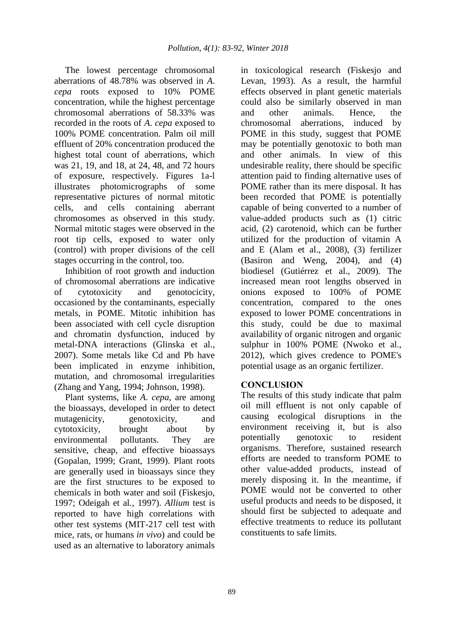The lowest percentage chromosomal aberrations of 48.78% was observed in *A*. *cepa* roots exposed to 10% POME concentration, while the highest percentage chromosomal aberrations of 58.33% was recorded in the roots of *A*. *cepa* exposed to 100% POME concentration. Palm oil mill effluent of 20% concentration produced the highest total count of aberrations, which was 21, 19, and 18, at 24, 48, and 72 hours of exposure, respectively. Figures 1a-l illustrates photomicrographs of some representative pictures of normal mitotic cells, and cells containing aberrant chromosomes as observed in this study. Normal mitotic stages were observed in the root tip cells, exposed to water only (control) with proper divisions of the cell stages occurring in the control, too.

Inhibition of root growth and induction of chromosomal aberrations are indicative of cytotoxicity and genotocicity, occasioned by the contaminants, especially metals, in POME. Mitotic inhibition has been associated with cell cycle disruption and chromatin dysfunction, induced by metal-DNA interactions (Glinska et al., 2007). Some metals like Cd and Pb have been implicated in enzyme inhibition, mutation, and chromosomal irregularities (Zhang and Yang, 1994; Johnson, 1998).

Plant systems, like *A*. *cepa*, are among the bioassays, developed in order to detect mutagenicity, genotoxicity, and cytotoxicity, brought about by environmental pollutants. They are sensitive, cheap, and effective bioassays (Gopalan, 1999; Grant, 1999). Plant roots are generally used in bioassays since they are the first structures to be exposed to chemicals in both water and soil (Fiskesjo, 1997; Odeigah et al*.,* 1997). *Allium* test is reported to have high correlations with other test systems (MIT-217 cell test with mice, rats, or humans *in vivo*) and could be used as an alternative to laboratory animals

in toxicological research (Fiskesjo and Levan, 1993). As a result, the harmful effects observed in plant genetic materials could also be similarly observed in man and other animals. Hence, the chromosomal aberrations, induced by POME in this study, suggest that POME may be potentially genotoxic to both man and other animals. In view of this undesirable reality, there should be specific attention paid to finding alternative uses of POME rather than its mere disposal. It has been recorded that POME is potentially capable of being converted to a number of value-added products such as (1) citric acid, (2) carotenoid, which can be further utilized for the production of vitamin A and E (Alam et al., 2008), (3) fertilizer (Basiron and Weng, 2004), and (4) biodiesel (Gutiérrez et al., 2009). The increased mean root lengths observed in onions exposed to 100% of POME concentration, compared to the ones exposed to lower POME concentrations in this study, could be due to maximal availability of organic nitrogen and organic sulphur in 100% POME (Nwoko et al., 2012), which gives credence to POME's potential usage as an organic fertilizer.

## **CONCLUSION**

The results of this study indicate that palm oil mill effluent is not only capable of causing ecological disruptions in the environment receiving it, but is also potentially genotoxic to resident organisms. Therefore, sustained research efforts are needed to transform POME to other value-added products, instead of merely disposing it. In the meantime, if POME would not be converted to other useful products and needs to be disposed, it should first be subjected to adequate and effective treatments to reduce its pollutant constituents to safe limits.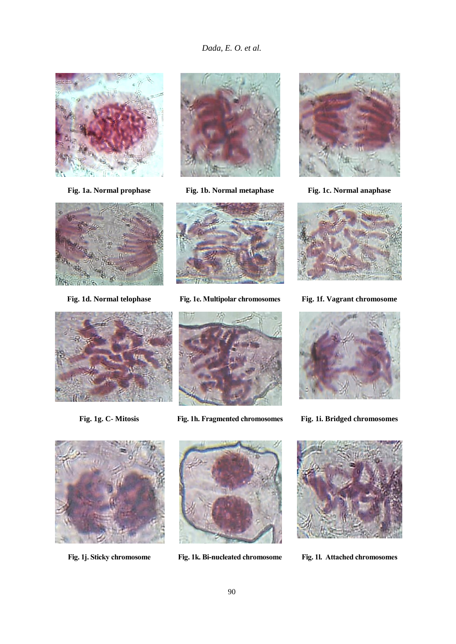







**Fig. 1a. Normal prophase Fig. 1b. Normal metaphase Fig. 1c. Normal anaphase**



**Fig. 1d. Normal telophase Fig. 1e. Multipolar chromosomes Fig. 1f. Vagrant chromosome**







**Fig. 1g. C- Mitosis Fig. 1h. Fragmented chromosomes Fig. 1i. Bridged chromosomes**





**Fig. 1j. Sticky chromosome Fig. 1k. Bi-nucleated chromosome Fig. 1l. Attached chromosomes**

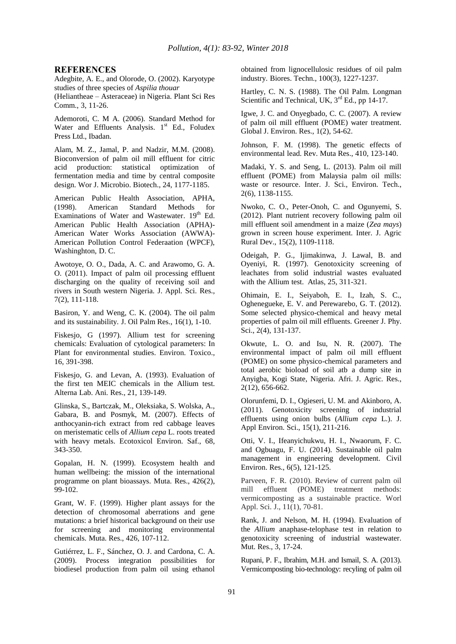#### **REFERENCES**

Adegbite, A. E., and Olorode, O. (2002). Karyotype studies of three species of *Aspilia thouar*

(Heliantheae – Asteraceae) in Nigeria. Plant Sci Res Comm., 3, 11-26.

Ademoroti, C. M A. (2006). Standard Method for Water and Effluents Analysis. 1<sup>st</sup> Ed., Foludex Press Ltd., Ibadan.

Alam, M. Z., Jamal, P. and Nadzir, M.M. (2008). Bioconversion of palm oil mill effluent for citric acid production: statistical optimization of fermentation media and time by central composite design. Wor J. Microbio. Biotech., 24, 1177-1185.

American Public Health Association, APHA, (1998). American Standard Methods for Examinations of Water and Wastewater. 19<sup>th</sup> Ed. American Public Health Association (APHA)- American Water Works Association (AWWA)- American Pollution Control Federaation (WPCF), Washinghton, D. C.

Awotoye, O. O., Dada, A. C. and Arawomo, G. A. O. (2011). Impact of palm oil processing effluent discharging on the quality of receiving soil and rivers in South western Nigeria. J. Appl. Sci. Res., 7(2), 111-118.

Basiron, Y. and Weng, C. K. (2004). The oil palm and its sustainability. J. Oil Palm Res., 16(1), 1-10.

Fiskesjo, G (1997). Allium test for screening chemicals: Evaluation of cytological parameters: In Plant for environmental studies. Environ. Toxico., 16, 391-398.

Fiskesjo, G. and Levan, A. (1993). Evaluation of the first ten MEIC chemicals in the Allium test. Alterna Lab. Ani. Res., 21, 139-149.

Glinska, S., Bartczak, M., Oleksiaka, S. Wolska, A., Gabara, B. and Posmyk, M. (2007). Effects of anthocyanin-rich extract from red cabbage leaves on meristematic cells of *Allium cepa* L. roots treated with heavy metals. Ecotoxicol Environ. Saf., 68, 343-350.

Gopalan, H. N. (1999). Ecosystem health and human wellbeing: the mission of the international programme on plant bioassays. Muta. Res., 426(2), 99-102.

Grant, W. F. (1999). Higher plant assays for the detection of chromosomal aberrations and gene mutations: a brief historical background on their use for screening and monitoring environmental chemicals. Muta. Res., 426, 107-112.

Gutiérrez, L. F., Sánchez, O. J. and Cardona, C. A. (2009). Process integration possibilities for biodiesel production from palm oil using ethanol obtained from lignocellulosic residues of oil palm industry. Biores. Techn., 100(3), 1227-1237.

Hartley, C. N. S. (1988). The Oil Palm. Longman Scientific and Technical, UK,  $3<sup>rd</sup>$  Ed., pp 14-17.

Igwe, J. C. and Onyegbado, C. C. (2007). A review of palm oil mill effluent (POME) water treatment. Global J. Environ. Res., 1(2), 54-62.

Johnson, F. M. (1998). The genetic effects of environmental lead. Rev. Muta Res., 410, 123-140.

Madaki, Y. S. and Seng, L. (2013). Palm oil mill effluent (POME) from Malaysia palm oil mills: waste or resource. Inter. J. Sci., Environ. Tech., 2(6), 1138-1155.

Nwoko, C. O., Peter-Onoh, C. and Ogunyemi, S. (2012). Plant nutrient recovery following palm oil mill effluent soil amendment in a maize (*Zea mays*) grown in screen house experiment. Inter. J. Agric Rural Dev., 15(2), 1109-1118.

Odeigah, P. G., Ijimakinwa, J. Lawal, B. and Oyeniyi, R. (1997). Genotoxicity screening of leachates from solid industrial wastes evaluated with the Allium test. Atlas, 25, 311-321.

Ohimain, E. I., Seiyaboh, E. I., Izah, S. C., Oghenegueke, E. V. and Perewarebo, G. T. (2012). Some selected physico-chemical and heavy metal properties of palm oil mill effluents. Greener J. Phy. Sci., 2(4), 131-137.

Okwute, L. O. and Isu, N. R. (2007). The environmental impact of palm oil mill effluent (POME) on some physico-chemical parameters and total aerobic bioload of soil atb a dump site in Anyigba, Kogi State, Nigeria. Afri. J. Agric. Res., 2(12), 656-662.

Olorunfemi, D. I., Ogieseri, U. M. and Akinboro, A. (2011). Genotoxicity screening of industrial effluents using onion bulbs (*Allium cepa* L.). J. Appl Environ. Sci., 15(1), 211-216.

Otti, V. I., Ifeanyichukwu, H. I., Nwaorum, F. C. and Ogbuagu, F. U. (2014). Sustainable oil palm management in engineering development. Civil Environ. Res., 6(5), 121-125.

Parveen, F. R. (2010). Review of current palm oil mill effluent (POME) treatment methods: vermicomposting as a sustainable practice. Worl Appl. Sci. J., 11(1), 70-81.

Rank, J. and Nelson, M. H. (1994). Evaluation of the *Allium* anaphase-telophase test in relation to genotoxicity screening of industrial wastewater. Mut. Res., 3, 17-24.

Rupani, P. F., Ibrahim, M.H. and Ismail, S. A. (2013). Vermicomposting bio-technology: recyling of palm oil